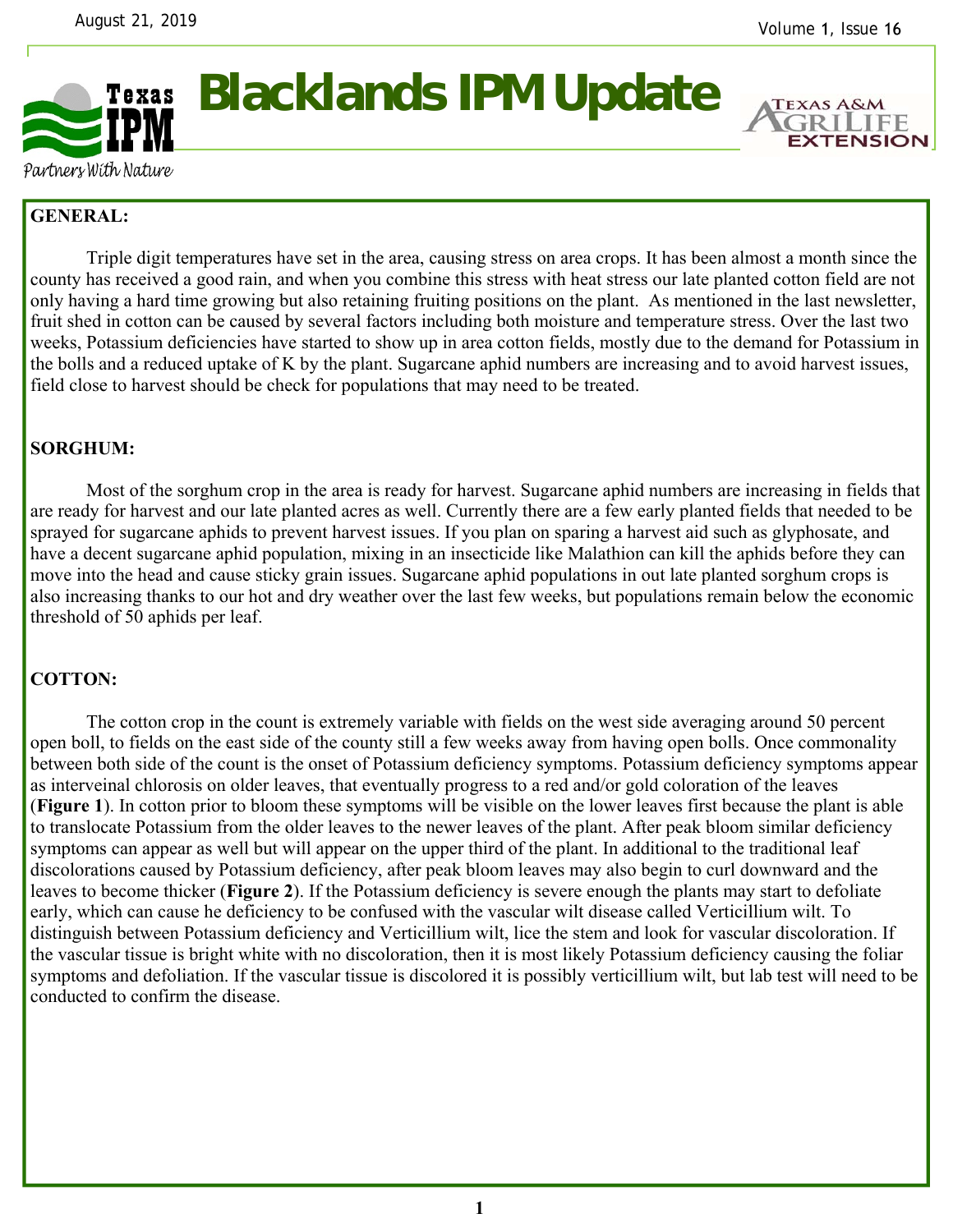

**Blacklands IPM Update** 

**EXTENSION** 

Partners With Nature

## **GENERAL:**

 Triple digit temperatures have set in the area, causing stress on area crops. It has been almost a month since the county has received a good rain, and when you combine this stress with heat stress our late planted cotton field are not only having a hard time growing but also retaining fruiting positions on the plant. As mentioned in the last newsletter, fruit shed in cotton can be caused by several factors including both moisture and temperature stress. Over the last two weeks, Potassium deficiencies have started to show up in area cotton fields, mostly due to the demand for Potassium in the bolls and a reduced uptake of K by the plant. Sugarcane aphid numbers are increasing and to avoid harvest issues, field close to harvest should be check for populations that may need to be treated.

## **SORGHUM:**

 Most of the sorghum crop in the area is ready for harvest. Sugarcane aphid numbers are increasing in fields that are ready for harvest and our late planted acres as well. Currently there are a few early planted fields that needed to be sprayed for sugarcane aphids to prevent harvest issues. If you plan on sparing a harvest aid such as glyphosate, and have a decent sugarcane aphid population, mixing in an insecticide like Malathion can kill the aphids before they can move into the head and cause sticky grain issues. Sugarcane aphid populations in out late planted sorghum crops is also increasing thanks to our hot and dry weather over the last few weeks, but populations remain below the economic threshold of 50 aphids per leaf.

## **COTTON:**

The cotton crop in the count is extremely variable with fields on the west side averaging around 50 percent open boll, to fields on the east side of the county still a few weeks away from having open bolls. Once commonality between both side of the count is the onset of Potassium deficiency symptoms. Potassium deficiency symptoms appear as interveinal chlorosis on older leaves, that eventually progress to a red and/or gold coloration of the leaves (**Figure 1**). In cotton prior to bloom these symptoms will be visible on the lower leaves first because the plant is able to translocate Potassium from the older leaves to the newer leaves of the plant. After peak bloom similar deficiency symptoms can appear as well but will appear on the upper third of the plant. In additional to the traditional leaf discolorations caused by Potassium deficiency, after peak bloom leaves may also begin to curl downward and the leaves to become thicker (**Figure 2**). If the Potassium deficiency is severe enough the plants may start to defoliate early, which can cause he deficiency to be confused with the vascular wilt disease called Verticillium wilt. To distinguish between Potassium deficiency and Verticillium wilt, lice the stem and look for vascular discoloration. If the vascular tissue is bright white with no discoloration, then it is most likely Potassium deficiency causing the foliar symptoms and defoliation. If the vascular tissue is discolored it is possibly verticillium wilt, but lab test will need to be conducted to confirm the disease.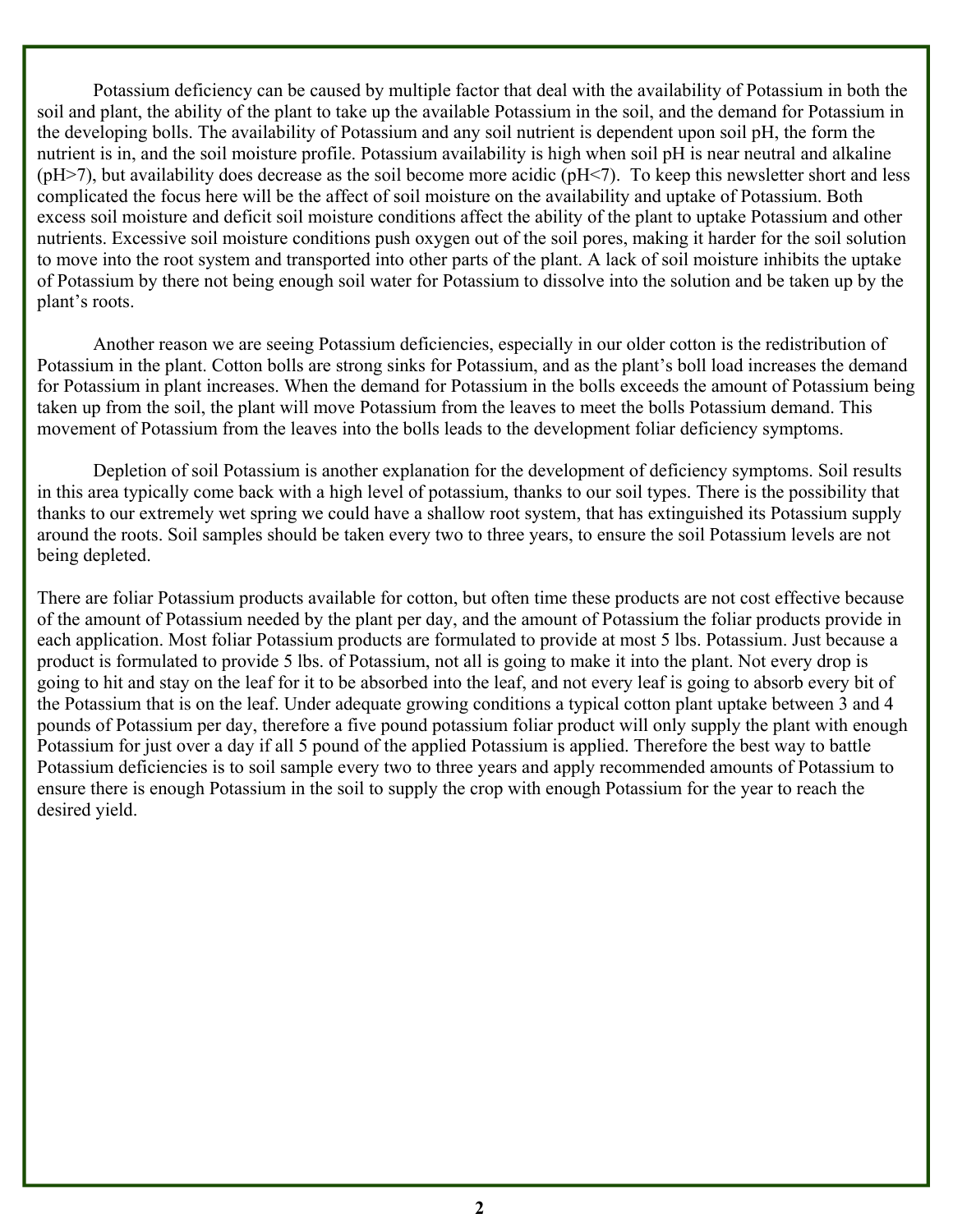Potassium deficiency can be caused by multiple factor that deal with the availability of Potassium in both the soil and plant, the ability of the plant to take up the available Potassium in the soil, and the demand for Potassium in the developing bolls. The availability of Potassium and any soil nutrient is dependent upon soil pH, the form the nutrient is in, and the soil moisture profile. Potassium availability is high when soil pH is near neutral and alkaline  $(pH>7)$ , but availability does decrease as the soil become more acidic  $(pH<7)$ . To keep this newsletter short and less complicated the focus here will be the affect of soil moisture on the availability and uptake of Potassium. Both excess soil moisture and deficit soil moisture conditions affect the ability of the plant to uptake Potassium and other nutrients. Excessive soil moisture conditions push oxygen out of the soil pores, making it harder for the soil solution to move into the root system and transported into other parts of the plant. A lack of soil moisture inhibits the uptake of Potassium by there not being enough soil water for Potassium to dissolve into the solution and be taken up by the plant's roots.

 Another reason we are seeing Potassium deficiencies, especially in our older cotton is the redistribution of Potassium in the plant. Cotton bolls are strong sinks for Potassium, and as the plant's boll load increases the demand for Potassium in plant increases. When the demand for Potassium in the bolls exceeds the amount of Potassium being taken up from the soil, the plant will move Potassium from the leaves to meet the bolls Potassium demand. This movement of Potassium from the leaves into the bolls leads to the development foliar deficiency symptoms.

 Depletion of soil Potassium is another explanation for the development of deficiency symptoms. Soil results in this area typically come back with a high level of potassium, thanks to our soil types. There is the possibility that thanks to our extremely wet spring we could have a shallow root system, that has extinguished its Potassium supply around the roots. Soil samples should be taken every two to three years, to ensure the soil Potassium levels are not being depleted.

There are foliar Potassium products available for cotton, but often time these products are not cost effective because of the amount of Potassium needed by the plant per day, and the amount of Potassium the foliar products provide in each application. Most foliar Potassium products are formulated to provide at most 5 lbs. Potassium. Just because a product is formulated to provide 5 lbs. of Potassium, not all is going to make it into the plant. Not every drop is going to hit and stay on the leaf for it to be absorbed into the leaf, and not every leaf is going to absorb every bit of the Potassium that is on the leaf. Under adequate growing conditions a typical cotton plant uptake between 3 and 4 pounds of Potassium per day, therefore a five pound potassium foliar product will only supply the plant with enough Potassium for just over a day if all 5 pound of the applied Potassium is applied. Therefore the best way to battle Potassium deficiencies is to soil sample every two to three years and apply recommended amounts of Potassium to ensure there is enough Potassium in the soil to supply the crop with enough Potassium for the year to reach the desired yield.